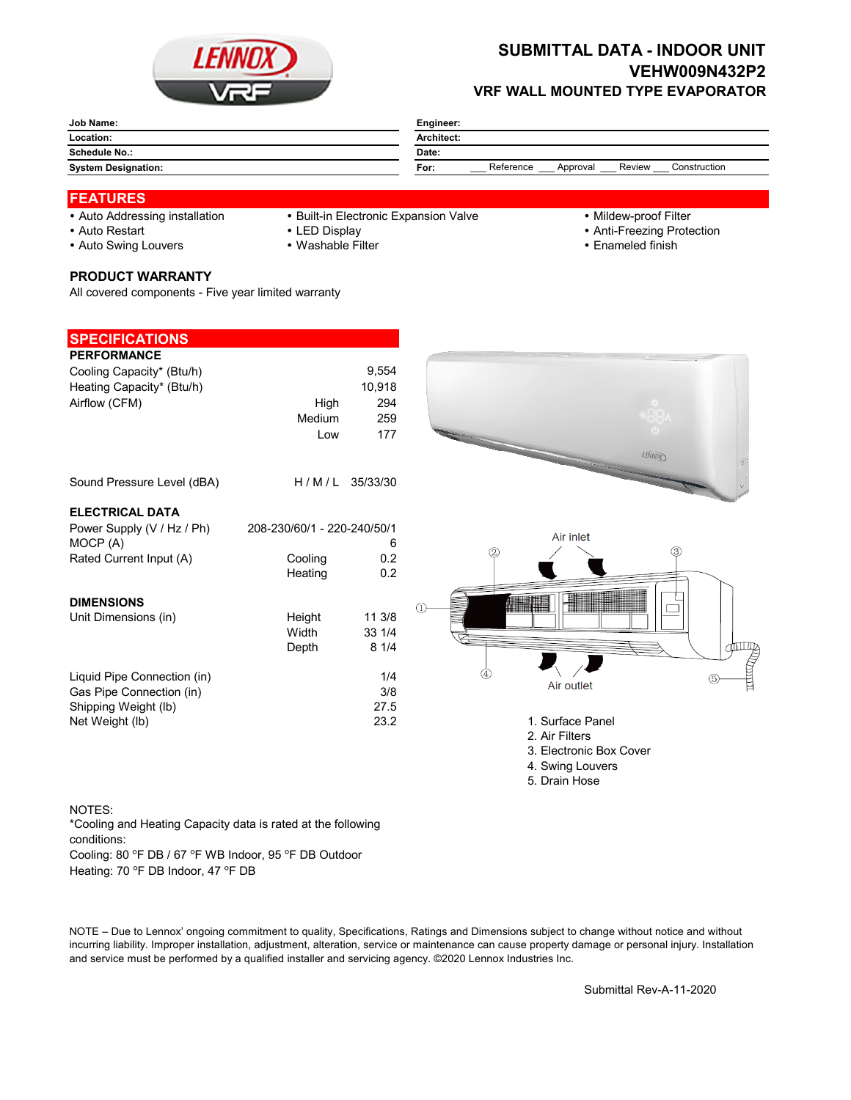

## **SUBMITTAL DATA - INDOOR UNIT VEHW009N432P2 VRF WALL MOUNTED TYPE EVAPORATOR**

| Job Name:                  | Engineer:                                               |
|----------------------------|---------------------------------------------------------|
| Location:                  | <b>Architect:</b>                                       |
| <b>Schedule No.:</b>       | Date:                                                   |
| <b>System Designation:</b> | Reference<br>Review<br>Construction<br>For:<br>Approval |

## **FEATURES**

- 
- Auto Addressing installation Built-in Electronic Expansion Valve Mildew-proof Filter
- 

- 
- Auto Restart **LED Display Community Community Community Community Community Community Community Community Community Community Community Community Community Community Community Community Community Community Community Comm**
- Auto Swing Louvers Washable Filter **Enameled finish** Enameled finish
- **PRODUCT WARRANTY**

All covered components - Five year limited warranty

| <b>SPECIFICATIONS</b>       |                             |          |                                                                                                                                                                                                                                |
|-----------------------------|-----------------------------|----------|--------------------------------------------------------------------------------------------------------------------------------------------------------------------------------------------------------------------------------|
| <b>PERFORMANCE</b>          |                             |          |                                                                                                                                                                                                                                |
| Cooling Capacity* (Btu/h)   |                             | 9,554    |                                                                                                                                                                                                                                |
| Heating Capacity* (Btu/h)   |                             | 10,918   |                                                                                                                                                                                                                                |
| Airflow (CFM)               | High                        | 294      |                                                                                                                                                                                                                                |
|                             | Medium                      | 259      |                                                                                                                                                                                                                                |
|                             | Low                         | 177      |                                                                                                                                                                                                                                |
|                             |                             |          | 1日前の                                                                                                                                                                                                                           |
| Sound Pressure Level (dBA)  | H/M/L                       | 35/33/30 |                                                                                                                                                                                                                                |
| <b>ELECTRICAL DATA</b>      |                             |          |                                                                                                                                                                                                                                |
| Power Supply (V / Hz / Ph)  | 208-230/60/1 - 220-240/50/1 |          |                                                                                                                                                                                                                                |
| MOCP (A)                    |                             | 6        | Air inlet<br>(3)                                                                                                                                                                                                               |
| Rated Current Input (A)     | Cooling                     | 0.2      | 2                                                                                                                                                                                                                              |
|                             | Heating                     | 0.2      |                                                                                                                                                                                                                                |
| <b>DIMENSIONS</b>           |                             |          |                                                                                                                                                                                                                                |
| Unit Dimensions (in)        | Height                      | 11 3/8   |                                                                                                                                                                                                                                |
|                             | Width                       | 33 1/4   |                                                                                                                                                                                                                                |
|                             | Depth                       | 81/4     |                                                                                                                                                                                                                                |
|                             |                             |          | the second control of the second control in the second control in the second control in the second control in the second control in the second control in the second control in the second control in the second control in th |
| Liquid Pipe Connection (in) |                             | 1/4      |                                                                                                                                                                                                                                |
| Gas Pipe Connection (in)    |                             | 3/8      | Air outlet                                                                                                                                                                                                                     |
| Shipping Weight (lb)        |                             | 27.5     |                                                                                                                                                                                                                                |
| Net Weight (lb)             |                             | 23.2     | 1. Surface Panel                                                                                                                                                                                                               |
|                             |                             |          | 2. Air Filters                                                                                                                                                                                                                 |
|                             |                             |          | 3. Electronic Box Cover                                                                                                                                                                                                        |
|                             |                             |          | 4. Swing Louvers                                                                                                                                                                                                               |
|                             |                             |          | 5. Drain Hose                                                                                                                                                                                                                  |

## NOTES:

Cooling: 80 °F DB / 67 °F WB Indoor, 95 °F DB Outdoor \*Cooling and Heating Capacity data is rated at the following conditions:

Heating: 70 °F DB Indoor, 47 °F DB

NOTE – Due to Lennox' ongoing commitment to quality, Specifications, Ratings and Dimensions subject to change without notice and without incurring liability. Improper installation, adjustment, alteration, service or maintenance can cause property damage or personal injury. Installation and service must be performed by a qualified installer and servicing agency. ©2020 Lennox Industries Inc.

Submittal Rev-A-11-2020